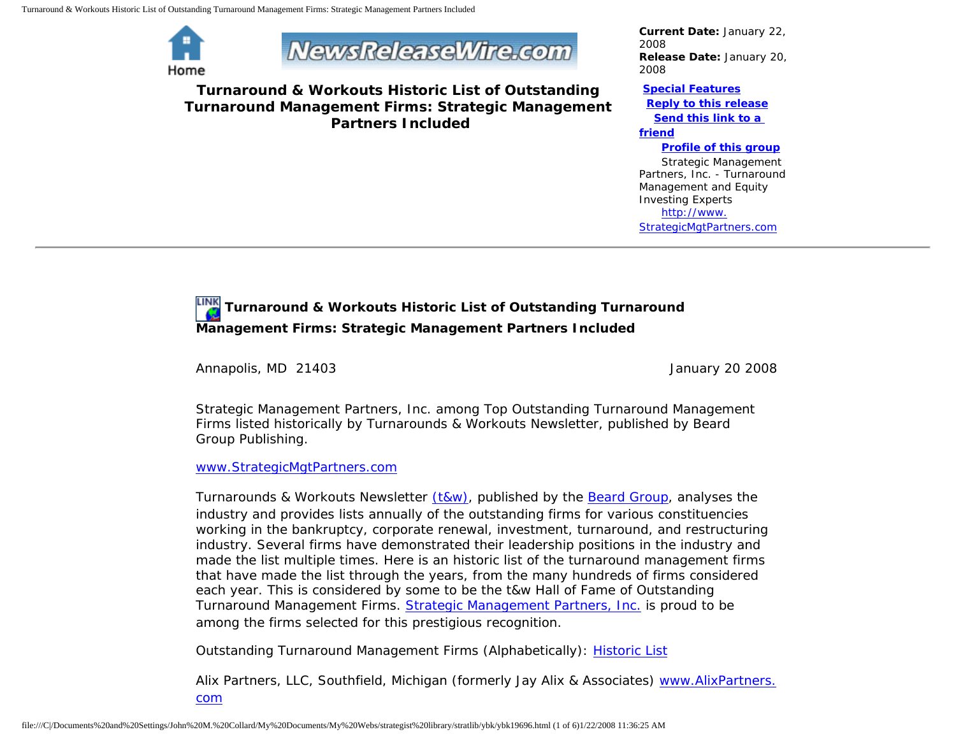Turnaround & Workouts Historic List of Outstanding Turnaround Management Firms: Strategic Management Partners Included



**NewsReleaseWire.com** 

**Turnaround & Workouts Historic List of Outstanding Turnaround Management Firms: Strategic Management Partners Included**

*Current Date:* January 22, 2008 *Release Date:* January 20, 2008

## **[Special Features](javascript:openlittleme()**

 **[Reply to this release](file:///C|/Documents%20and%20Settings/John%20M.%20Collard/My%20Documents/My%20Webs/strategist%20library/stratlib/ybk/default.cfm?Action=ReplyRelease&Id=19696) [Send this link to a](file:///C|/Documents%20and%20Settings/John%20M.%20Collard/My%20Documents/My%20Webs/strategist%20library/stratlib/ybk/default.cfm?Action=SendLink&SendId=19696)** 

## **[friend](file:///C|/Documents%20and%20Settings/John%20M.%20Collard/My%20Documents/My%20Webs/strategist%20library/stratlib/ybk/default.cfm?Action=SendLink&SendId=19696)**

**[Profile of this group](file:///C|/Documents%20and%20Settings/John%20M.%20Collard/My%20Documents/My%20Webs/strategist%20library/stratlib/ybk/default.cfm?Action=Profile&ProfileId=623)**

 Strategic Management Partners, Inc. - Turnaround Management and Equity Investing Experts [http://www.](http://www.strategicmgtpartners.com/) [StrategicMgtPartners.com](http://www.strategicmgtpartners.com/)

## **Turnaround & Workouts Historic List of Outstanding Turnaround Management Firms: Strategic Management Partners Included**

Annapolis, MD 21403 **January 20 2008** 

Strategic Management Partners, Inc. among Top Outstanding Turnaround Management Firms listed historically by Turnarounds & Workouts Newsletter, published by Beard Group Publishing.

## [www.StrategicMgtPartners.com](http://www.strategicmgtpartners.com/)

Turnarounds & Workouts Newsletter [\(t&w\)](http://www.bankrupt.com/), published by the [Beard Group,](http://www.beardgroup.com/) analyses the industry and provides lists annually of the outstanding firms for various constituencies working in the bankruptcy, corporate renewal, investment, turnaround, and restructuring industry. Several firms have demonstrated their leadership positions in the industry and made the list multiple times. Here is an historic list of the turnaround management firms that have made the list through the years, from the many hundreds of firms considered each year. This is considered by some to be the t&w Hall of Fame of Outstanding Turnaround Management Firms. [Strategic Management Partners, Inc.](http://members.aol.com/strategist/home.html) is proud to be among the firms selected for this prestigious recognition.

Outstanding Turnaround Management Firms (Alphabetically): [Historic List](http://members.aol.com/Strategist/twtop12.html)

Alix Partners, LLC, Southfield, Michigan (formerly Jay Alix & Associates) [www.AlixPartners.](http://www.alixpartners.com/) [com](http://www.alixpartners.com/)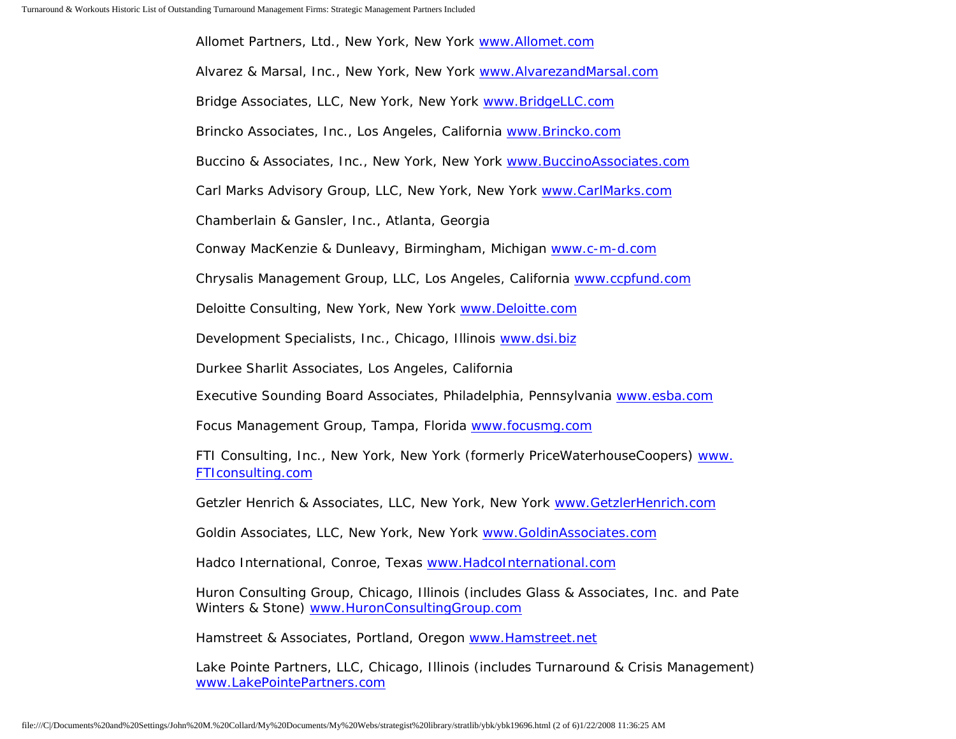Allomet Partners, Ltd., New York, New York [www.Allomet.com](http://www.allomet.com/) Alvarez & Marsal, Inc., New York, New York [www.AlvarezandMarsal.com](http://www.alvarezandmarsal.com/) Bridge Associates, LLC, New York, New York [www.BridgeLLC.com](http://www.bridgellc.com/) Brincko Associates, Inc., Los Angeles, California [www.Brincko.com](http://www.brincko.com/) Buccino & Associates, Inc., New York, New York [www.BuccinoAssociates.com](http://www.buccinoassociates.com/) Carl Marks Advisory Group, LLC, New York, New York [www.CarlMarks.com](http://www.carlmarks.com/) Chamberlain & Gansler, Inc., Atlanta, Georgia Conway MacKenzie & Dunleavy, Birmingham, Michigan [www.c-m-d.com](http://www.c-m-d.com/) Chrysalis Management Group, LLC, Los Angeles, California [www.ccpfund.com](http://www.ccpfund.com/) Deloitte Consulting, New York, New York [www.Deloitte.com](http://www.deloitte.com/) Development Specialists, Inc., Chicago, Illinois [www.dsi.biz](http://www.dsi.biz/) Durkee Sharlit Associates, Los Angeles, California Executive Sounding Board Associates, Philadelphia, Pennsylvania [www.esba.com](http://www.esba.com/) Focus Management Group, Tampa, Florida [www.focusmg.com](http://www.focusmg.com/) FTI Consulting, Inc., New York, New York (formerly PriceWaterhouseCoopers) [www.](http://www.fticonsulting.com/) [FTIconsulting.com](http://www.fticonsulting.com/) Getzler Henrich & Associates, LLC, New York, New York [www.GetzlerHenrich.com](http://www.getzlerhenrich.com/) Goldin Associates, LLC, New York, New York [www.GoldinAssociates.com](http://www.goldinassociates.com/)

Hadco International, Conroe, Texas [www.HadcoInternational.com](http://www.hadcointernational.com/)

Huron Consulting Group, Chicago, Illinois (includes Glass & Associates, Inc. and Pate Winters & Stone) [www.HuronConsultingGroup.com](http://www.huronconsultinggroup.com/)

Hamstreet & Associates, Portland, Oregon [www.Hamstreet.net](http://www.hamstreet.net/)

Lake Pointe Partners, LLC, Chicago, Illinois (includes Turnaround & Crisis Management) [www.LakePointePartners.com](http://www.lakepointepartners.com/)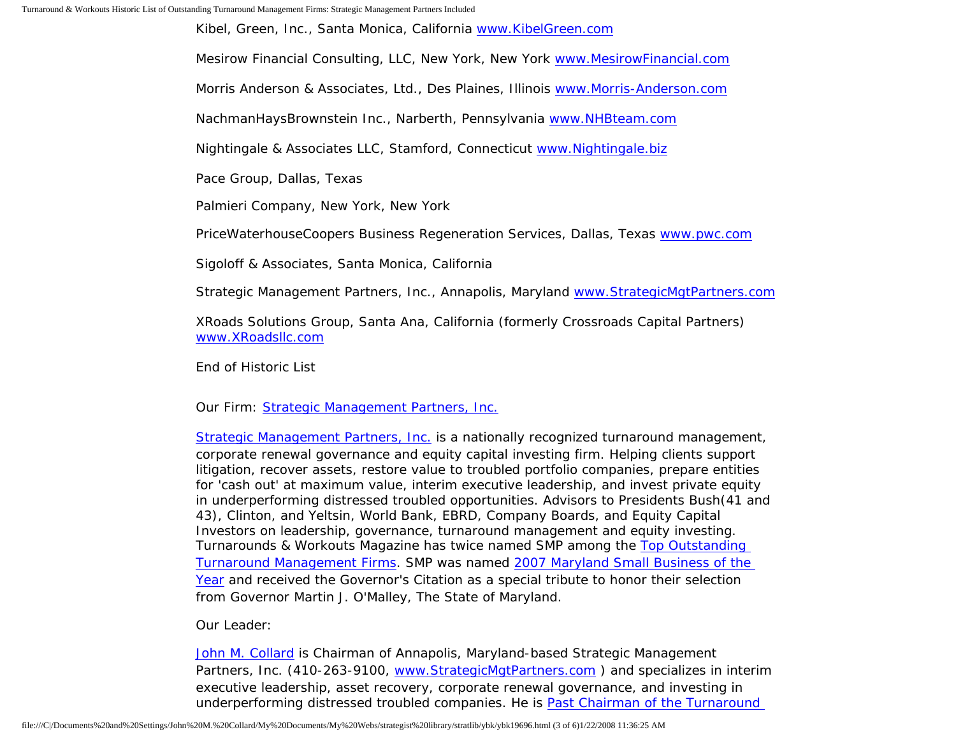Turnaround & Workouts Historic List of Outstanding Turnaround Management Firms: Strategic Management Partners Included

Kibel, Green, Inc., Santa Monica, California [www.KibelGreen.com](http://www.kibelgreen.com/)

Mesirow Financial Consulting, LLC, New York, New York [www.MesirowFinancial.com](http://www.mesirowfinancial.com/)

Morris Anderson & Associates, Ltd., Des Plaines, Illinois [www.Morris-Anderson.com](http://www.morris-anderson.com/)

NachmanHaysBrownstein Inc., Narberth, Pennsylvania [www.NHBteam.com](http://www.nhbteam.com/)

Nightingale & Associates LLC, Stamford, Connecticut [www.Nightingale.biz](http://www.nightingale.biz/)

Pace Group, Dallas, Texas

Palmieri Company, New York, New York

PriceWaterhouseCoopers Business Regeneration Services, Dallas, Texas [www.pwc.com](http://www.pwc.com/)

Sigoloff & Associates, Santa Monica, California

Strategic Management Partners, Inc., Annapolis, Maryland [www.StrategicMgtPartners.com](http://www.strategicmgtpartners.com/)

XRoads Solutions Group, Santa Ana, California (formerly Crossroads Capital Partners) [www.XRoadsllc.com](http://www.xroadsllc.com/)

End of Historic List

Our Firm: [Strategic Management Partners, Inc.](http://www.turnaroundmanagement.us.com/)

[Strategic Management Partners, Inc.](http://www.strategicmanagementpartnersinc.com/) is a nationally recognized turnaround management, corporate renewal governance and equity capital investing firm. Helping clients support litigation, recover assets, restore value to troubled portfolio companies, prepare entities for 'cash out' at maximum value, interim executive leadership, and invest private equity in underperforming distressed troubled opportunities. Advisors to Presidents Bush(41 and 43), Clinton, and Yeltsin, World Bank, EBRD, Company Boards, and Equity Capital Investors on leadership, governance, turnaround management and equity investing. Turnarounds & Workouts Magazine has twice named SMP among the [Top Outstanding](http://members.aol.com/Strategist/twtop12.html) [Turnaround Management Firms](http://members.aol.com/Strategist/twtop12.html). SMP was named [2007 Maryland Small Business of the](http://members.aol.com/Stratlib3/mccsbyr.html) [Year](http://members.aol.com/Stratlib3/mccsbyr.html) and received the Governor's Citation as a special tribute to honor their selection from Governor Martin J. O'Malley, The State of Maryland.

Our Leader:

[John M. Collard](http://www.strategistlibrary.com/) is Chairman of Annapolis, Maryland-based Strategic Management Partners, Inc. (410-263-9100, www.StrategicMgtPartners.com) and specializes in interim executive leadership, asset recovery, corporate renewal governance, and investing in underperforming distressed troubled companies. He is [Past Chairman of the Turnaround](http://members.aol.com/Strategist/pastchair.html)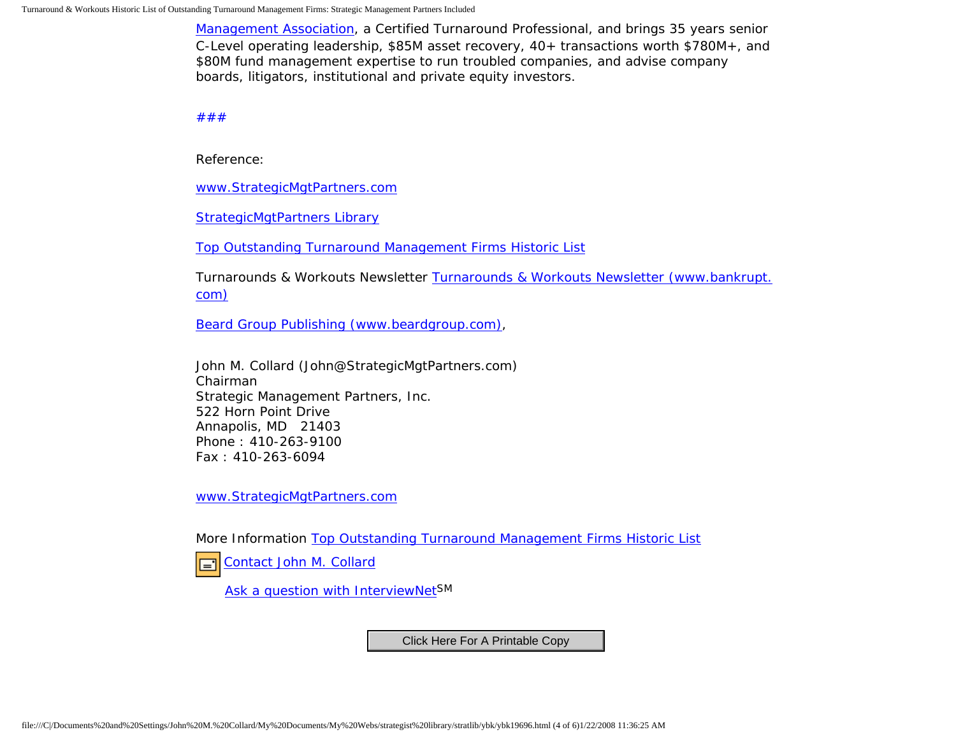[Management Association,](http://members.aol.com/Strategist/pastchair.html) a Certified Turnaround Professional, and brings 35 years senior C-Level operating leadership, \$85M asset recovery, 40+ transactions worth \$780M+, and \$80M fund management expertise to run troubled companies, and advise company boards, litigators, institutional and private equity investors.

[#](http://members.aol.com/Strategist/home.html)[#](http://members.aol.com/Strategist/sitemap.html)[#](http://members.aol.com/Strategist/urllist.txt)

Reference:

[www.StrategicMgtPartners.com](http://www.strategicmgtpartners.com/)

[StrategicMgtPartners Library](http://members.aol.com/stratlib3/liblinx.html)

[Top Outstanding Turnaround Management Firms Historic List](http://members.aol.com/Strategist/twtop12.html)

Turnarounds & Workouts Newsletter [Turnarounds & Workouts Newsletter \(www.bankrupt.](http://www.bankrupt.com/) [com\)](http://www.bankrupt.com/)

[Beard Group Publishing \(www.beardgroup.com\),](http://www.beardgroup.com/)

John M. Collard (John@StrategicMgtPartners.com) Chairman Strategic Management Partners, Inc. 522 Horn Point Drive Annapolis, MD 21403 Phone : 410-263-9100 Fax : 410-263-6094

[www.StrategicMgtPartners.com](http://www.strategicmgtpartners.com/)

More Information [Top Outstanding Turnaround Management Firms Historic List](http://members.aol.com/Strategist/twtop12.html)

[Contact John M. Collard](http://www.expertclick.com/expertClick/contact/default.cfm?Action=ContactExpert&GroupID=1016) ।≡1

[Ask a question with InterviewNetS](http://www.expertclick.com/expertClick/contact/default.cfm?GroupID=1016)M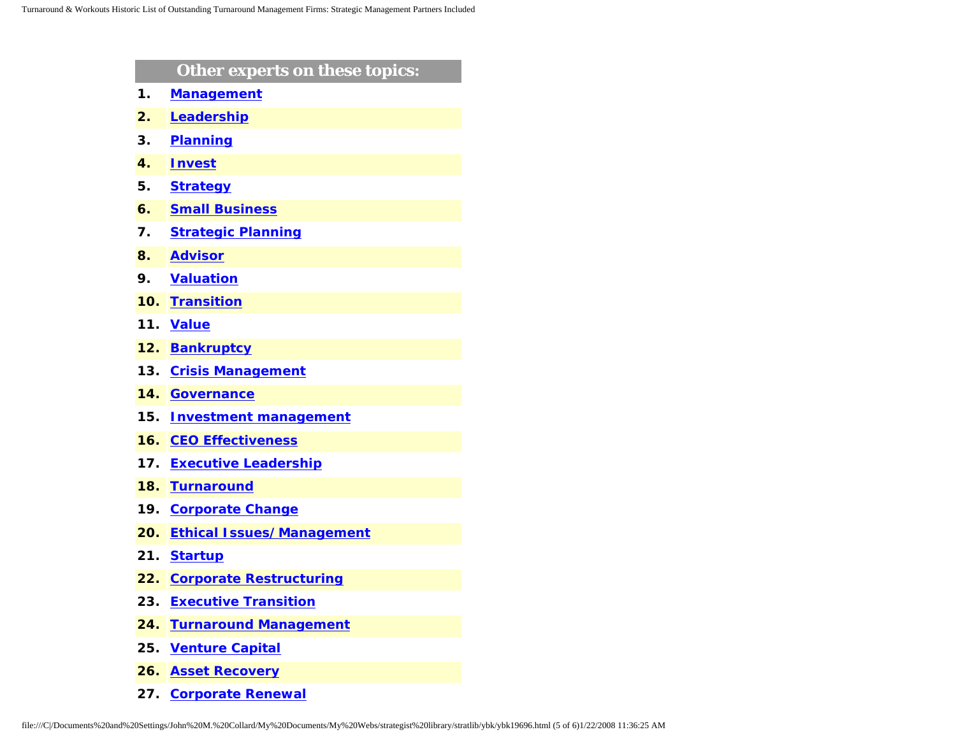|     | Other experts on these topics:   |
|-----|----------------------------------|
| 1.  | <b>Management</b>                |
| 2.  | Leadership                       |
| З.  | <b>Planning</b>                  |
| 4.  | <b>Invest</b>                    |
| 5.  | <b>Strategy</b>                  |
| 6.  | <b>Small Business</b>            |
| 7.  | <b>Strategic Planning</b>        |
| 8.  | <b>Advisor</b>                   |
| 9.  | <b>Valuation</b>                 |
| 10. | <b>Transition</b>                |
| 11. | <b>Value</b>                     |
| 12. | <b>Bankruptcy</b>                |
| 13. | <b>Crisis Management</b>         |
| 14. | <b>Governance</b>                |
| 15. | <b>Investment management</b>     |
| 16. | <b>CEO Effectiveness</b>         |
| 17. | <b>Executive Leadership</b>      |
| 18. | <b>Turnaround</b>                |
| 19. | <b>Corporate Change</b>          |
| 20. | <b>Ethical Issues/Management</b> |
| 21. | <b>Startup</b>                   |
| 22. | <b>Corporate Restructuring</b>   |
| 23. | <b>Executive Transition</b>      |
| 24. | <b>Turnaround Management</b>     |
| 25. | <b>Venture Capital</b>           |
| 26. | <b>Asset Recovery</b>            |

**27. [Corporate Renewal](http://www.expertclick.com/search/default.cfm?SearchCriteria=Corporate Renewal)**